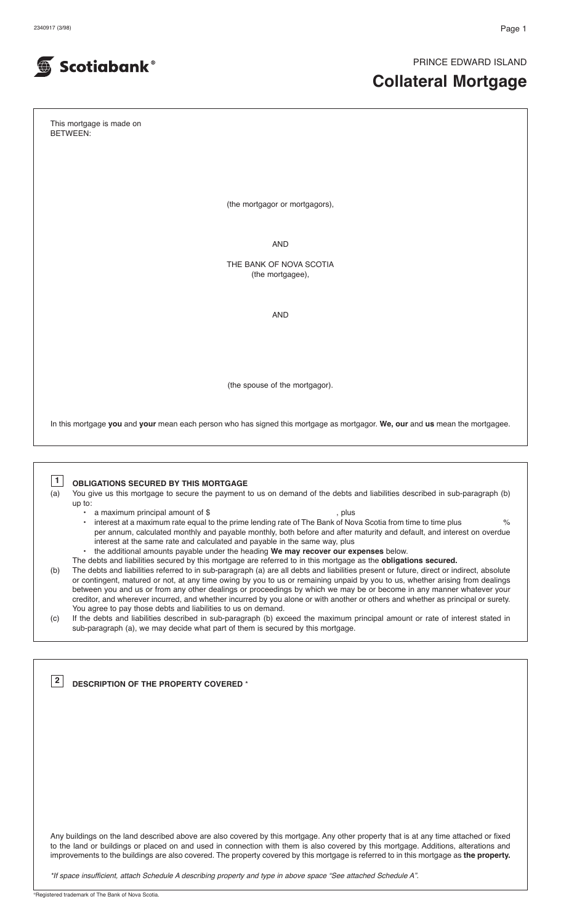PRINCE EDWARD ISLAND

# **Collateral Mortgage**

This mortgage is made on BETWEEN:

Scotiabank®

(the mortgagor or mortgagors),

AND

THE BANK OF NOVA SCOTIA (the mortgagee).

AND

(the spouse of the mortgagor).

In this mortgage **you** and **your** mean each person who has signed this mortgage as mortgagor. **We, our** and **us** mean the mortgagee.

**1**

**OBLIGATIONS SECURED BY THIS MORTGAGE**

(a) You give us this mortgage to secure the payment to us on demand of the debts and liabilities described in sub-paragraph (b)

up to:

**DESCRIPTION OF THE PROPERTY COVERED** \* **2**

- a maximum principal amount of \$<br>• interest at a maximum rate equal to the prime lending rate of The Bank of Nov interest at a maximum rate equal to the prime lending rate of The Bank of Nova Scotia from time to time plus  $\%$ per annum, calculated monthly and payable monthly, both before and after maturity and default, and interest on overdue interest at the same rate and calculated and payable in the same way, plus
	- the additional amounts payable under the heading **We may recover our expenses** below.
- The debts and liabilities secured by this mortgage are referred to in this mortgage as the **obligations secured.**
- (b) The debts and liabilities referred to in sub-paragraph (a) are all debts and liabilities present or future, direct or indirect, absolute or contingent, matured or not, at any time owing by you to us or remaining unpaid by you to us, whether arising from dealings between you and us or from any other dealings or proceedings by which we may be or become in any manner whatever your creditor, and wherever incurred, and whether incurred by you alone or with another or others and whether as principal or surety. You agree to pay those debts and liabilities to us on demand.
- (c) If the debts and liabilities described in sub-paragraph (b) exceed the maximum principal amount or rate of interest stated in sub-paragraph (a), we may decide what part of them is secured by this mortgage.

Any buildings on the land described above are also covered by this mortgage. Any other property that is at any time attached or fixed to the land or buildings or placed on and used in connection with them is also covered by this mortgage. Additions, alterations and improvements to the buildings are also covered. The property covered by this mortgage is referred to in this mortgage as **the property.**

*\*If space insufficient, attach Schedule A describing property and type in above space "See attached Schedule A".*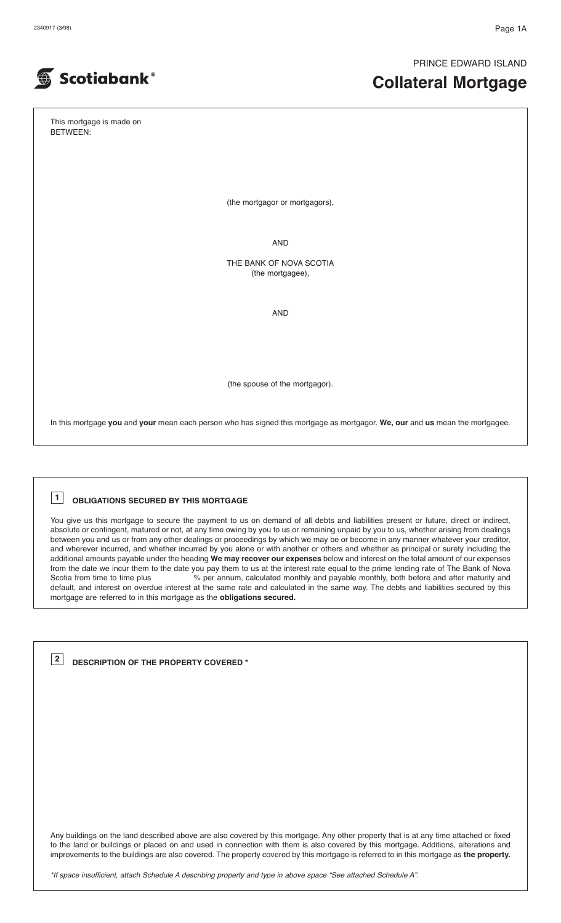PRINCE EDWARD ISLAND

# **Collateral Mortgage**

This mortgage is made on BETWEEN:

**Scotiabank®** 

(the mortgagor or mortgagors),

AND

THE BANK OF NOVA SCOTIA (the mortgagee),

AND

(the spouse of the mortgagor).

In this mortgage **you** and **your** mean each person who has signed this mortgage as mortgagor. **We, our** and **us** mean the mortgagee.

# **OBLIGATIONS SECURED BY THIS MORTGAGE 1**

You give us this mortgage to secure the payment to us on demand of all debts and liabilities present or future, direct or indirect, absolute or contingent, matured or not, at any time owing by you to us or remaining unpaid by you to us, whether arising from dealings between you and us or from any other dealings or proceedings by which we may be or become in any manner whatever your creditor, and wherever incurred, and whether incurred by you alone or with another or others and whether as principal or surety including the additional amounts payable under the heading **We may recover our expenses** below and interest on the total amount of our expenses from the date we incur them to the date you pay them to us at the interest rate equal to the prime lending rate of The Bank of Nova<br>Scotia from time to time plus % per annum, calculated monthly and payable monthly, both be % per annum, calculated monthly and payable monthly, both before and after maturity and default, and interest on overdue interest at the same rate and calculated in the same way. The debts and liabilities secured by this mortgage are referred to in this mortgage as the **obligations secured.**

**DESCRIPTION OF THE PROPERTY COVERED \* 2**

Any buildings on the land described above are also covered by this mortgage. Any other property that is at any time attached or fixed to the land or buildings or placed on and used in connection with them is also covered by this mortgage. Additions, alterations and improvements to the buildings are also covered. The property covered by this mortgage is referred to in this mortgage as **the property.**

\*If space insufficient, attach Schedule A describing property and type in above space "See attached Schedule A".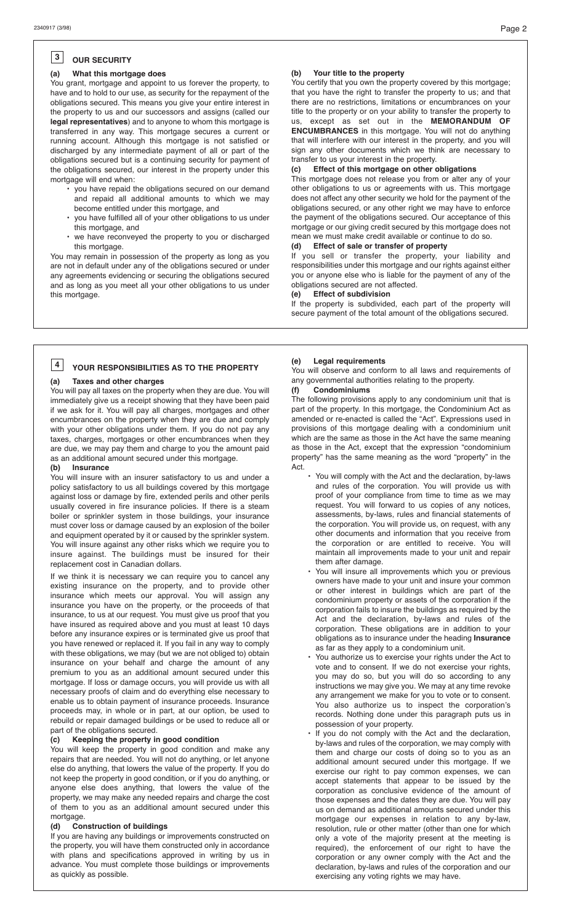#### **OUR SECURITY 3**

# **(a) What this mortgage does**

You grant, mortgage and appoint to us forever the property, to have and to hold to our use, as security for the repayment of the obligations secured. This means you give your entire interest in the property to us and our successors and assigns (called our **legal representatives**) and to anyone to whom this mortgage is transferred in any way. This mortgage secures a current or running account. Although this mortgage is not satisfied or discharged by any intermediate payment of all or part of the obligations secured but is a continuing security for payment of the obligations secured, our interest in the property under this mortgage will end when:

- you have repaid the obligations secured on our demand and repaid all additional amounts to which we may become entitled under this mortgage, and
- you have fulfilled all of your other obligations to us under this mortgage, and
- we have reconveyed the property to you or discharged this mortgage.

You may remain in possession of the property as long as you are not in default under any of the obligations secured or under any agreements evidencing or securing the obligations secured and as long as you meet all your other obligations to us under this mortgage.

# **(b) Your title to the property**

You certify that you own the property covered by this mortgage; that you have the right to transfer the property to us; and that there are no restrictions, limitations or encumbrances on your title to the property or on your ability to transfer the property to us, except as set out in the **MEMORANDUM OF ENCUMBRANCES** in this mortgage. You will not do anything that will interfere with our interest in the property, and you will sign any other documents which we think are necessary to

# transfer to us your interest in the property.<br>
(c) Effect of this mortgage on other of **(c) Effect of this mortgage on other obligations**

This mortgage does not release you from or alter any of your other obligations to us or agreements with us. This mortgage does not affect any other security we hold for the payment of the obligations secured, or any other right we may have to enforce the payment of the obligations secured. Our acceptance of this mortgage or our giving credit secured by this mortgage does not mean we must make credit available or continue to do so.

# **(d) Effect of sale or transfer of property**

If you sell or transfer the property, your liability and responsibilities under this mortgage and our rights against either you or anyone else who is liable for the payment of any of the obligations secured are not affected.

# **(e) Effect of subdivision**

If the property is subdivided, each part of the property will secure payment of the total amount of the obligations secured.

# **YOUR RESPONSIBILITIES AS TO THE PROPERTY 4**

## **(a) Taxes and other charges**

You will pay all taxes on the property when they are due. You will immediately give us a receipt showing that they have been paid if we ask for it. You will pay all charges, mortgages and other encumbrances on the property when they are due and comply with your other obligations under them. If you do not pay any taxes, charges, mortgages or other encumbrances when they are due, we may pay them and charge to you the amount paid as an additional amount secured under this mortgage.

# **(b) Insurance**

You will insure with an insurer satisfactory to us and under a policy satisfactory to us all buildings covered by this mortgage against loss or damage by fire, extended perils and other perils usually covered in fire insurance policies. If there is a steam boiler or sprinkler system in those buildings, your insurance must cover loss or damage caused by an explosion of the boiler and equipment operated by it or caused by the sprinkler system. You will insure against any other risks which we require you to insure against. The buildings must be insured for their replacement cost in Canadian dollars.

If we think it is necessary we can require you to cancel any existing insurance on the property, and to provide other insurance which meets our approval. You will assign any insurance you have on the property, or the proceeds of that insurance, to us at our request. You must give us proof that you have insured as required above and you must at least 10 days before any insurance expires or is terminated give us proof that you have renewed or replaced it. If you fail in any way to comply with these obligations, we may (but we are not obliged to) obtain insurance on your behalf and charge the amount of any premium to you as an additional amount secured under this mortgage. If loss or damage occurs, you will provide us with all necessary proofs of claim and do everything else necessary to enable us to obtain payment of insurance proceeds. Insurance proceeds may, in whole or in part, at our option, be used to rebuild or repair damaged buildings or be used to reduce all or

# part of the obligations secured.<br>(c) Keeping the property in **(c) Keeping the property in good condition**

You will keep the property in good condition and make any repairs that are needed. You will not do anything, or let anyone else do anything, that lowers the value of the property. If you do not keep the property in good condition, or if you do anything, or anyone else does anything, that lowers the value of the property, we may make any needed repairs and charge the cost of them to you as an additional amount secured under this mortgage.

## **(d) Construction of buildings**

If you are having any buildings or improvements constructed on the property, you will have them constructed only in accordance with plans and specifications approved in writing by us in advance. You must complete those buildings or improvements as quickly as possible.

# **(e) Legal requirements**

You will observe and conform to all laws and requirements of any governmental authorities relating to the property.

## **(f) Condominiums**

The following provisions apply to any condominium unit that is part of the property. In this mortgage, the Condominium Act as amended or re-enacted is called the "Act". Expressions used in provisions of this mortgage dealing with a condominium unit which are the same as those in the Act have the same meaning as those in the Act, except that the expression "condominium property" has the same meaning as the word "property" in the Act.

- You will comply with the Act and the declaration, by-laws and rules of the corporation. You will provide us with proof of your compliance from time to time as we may request. You will forward to us copies of any notices, assessments, by-laws, rules and financial statements of the corporation. You will provide us, on request, with any other documents and information that you receive from the corporation or are entitled to receive. You will maintain all improvements made to your unit and repair them after damage.
- You will insure all improvements which you or previous owners have made to your unit and insure your common or other interest in buildings which are part of the condominium property or assets of the corporation if the corporation fails to insure the buildings as required by the Act and the declaration, by-laws and rules of the corporation. These obligations are in addition to your obligations as to insurance under the heading **Insurance** as far as they apply to a condominium unit.
- You authorize us to exercise your rights under the Act to vote and to consent. If we do not exercise your rights, you may do so, but you will do so according to any instructions we may give you. We may at any time revoke any arrangement we make for you to vote or to consent. You also authorize us to inspect the corporation's records. Nothing done under this paragraph puts us in possession of your property.
- If you do not comply with the Act and the declaration, by-laws and rules of the corporation, we may comply with them and charge our costs of doing so to you as an additional amount secured under this mortgage. If we exercise our right to pay common expenses, we can accept statements that appear to be issued by the corporation as conclusive evidence of the amount of those expenses and the dates they are due. You will pay us on demand as additional amounts secured under this mortgage our expenses in relation to any by-law, resolution, rule or other matter (other than one for which only a vote of the majority present at the meeting is required), the enforcement of our right to have the corporation or any owner comply with the Act and the declaration, by-laws and rules of the corporation and our exercising any voting rights we may have.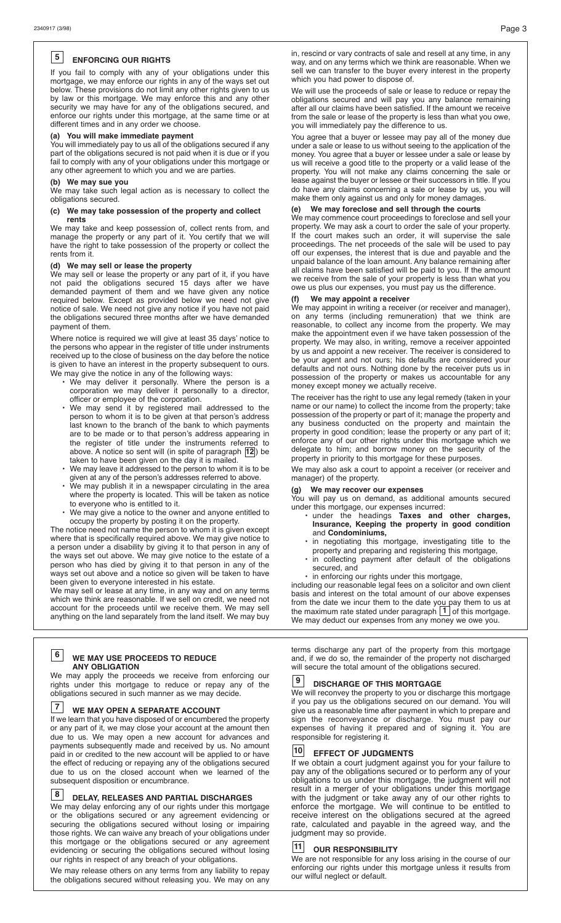#### **ENFORCING OUR RIGHTS 5**

If you fail to comply with any of your obligations under this mortgage, we may enforce our rights in any of the ways set out below. These provisions do not limit any other rights given to us by law or this mortgage. We may enforce this and any other security we may have for any of the obligations secured, and enforce our rights under this mortgage, at the same time or at different times and in any order we choose.

# **(a) You will make immediate payment**

You will immediately pay to us all of the obligations secured if any part of the obligations secured is not paid when it is due or if you fail to comply with any of your obligations under this mortgage or any other agreement to which you and we are parties.

# **(b) We may sue you**

We may take such legal action as is necessary to collect the obligations secured.

# **(c) We may take possession of the property and collect**

 **rents** We may take and keep possession of, collect rents from, and manage the property or any part of it. You certify that we will have the right to take possession of the property or collect the rents from it.

## **(d) We may sell or lease the property**

We may sell or lease the property or any part of it, if you have not paid the obligations secured 15 days after we have demanded payment of them and we have given any notice required below. Except as provided below we need not give notice of sale. We need not give any notice if you have not paid the obligations secured three months after we have demanded payment of them.

Where notice is required we will give at least 35 days' notice to the persons who appear in the register of title under instruments received up to the close of business on the day before the notice is given to have an interest in the property subsequent to ours. We may give the notice in any of the following ways:

- We may deliver it personally. Where the person is a corporation we may deliver it personally to a director, officer or employee of the corporation.
	- We may send it by registered mail addressed to the person to whom it is to be given at that person's address last known to the branch of the bank to which payments are to be made or to that person's address appearing in the register of title under the instruments refe<u>rre</u>d to above. A notice so sent will (in spite of paragraph  $|12|$ ) be taken to have been given on the day it is mailed.
- We may leave it addressed to the person to whom it is to be given at any of the person's addresses referred to above.
	- We may publish it in a newspaper circulating in the area where the property is located. This will be taken as notice to everyone who is entitled to it.
	- We may give a notice to the owner and anyone entitled to occupy the property by posting it on the property.

The notice need not name the person to whom it is given except where that is specifically required above. We may give notice to a person under a disability by giving it to that person in any of the ways set out above. We may give notice to the estate of a person who has died by giving it to that person in any of the ways set out above and a notice so given will be taken to have been given to everyone interested in his estate.

We may sell or lease at any time, in any way and on any terms which we think are reasonable. If we sell on credit, we need not account for the proceeds until we receive them. We may sell anything on the land separately from the land itself. We may buy

## **WE MAY USE PROCEEDS TO REDUCE ANY OBLIGATION 6**

We may apply the proceeds we receive from enforcing our rights under this mortgage to reduce or repay any of the obligations secured in such manner as we may decide.

## **WE MAY OPEN A SEPARATE ACCOUNT 7**

If we learn that you have disposed of or encumbered the property or any part of it, we may close your account at the amount then due to us. We may open a new account for advances and payments subsequently made and received by us. No amount paid in or credited to the new account will be applied to or have the effect of reducing or repaying any of the obligations secured due to us on the closed account when we learned of the subsequent disposition or encumbrance.

#### **DELAY, RELEASES AND PARTIAL DISCHARGES 8**

We may delay enforcing any of our rights under this mortgage or the obligations secured or any agreement evidencing or securing the obligations secured without losing or impairing those rights. We can waive any breach of your obligations under this mortgage or the obligations secured or any agreement evidencing or securing the obligations secured without losing our rights in respect of any breach of your obligations.

We may release others on any terms from any liability to repay the obligations secured without releasing you. We may on any in, rescind or vary contracts of sale and resell at any time, in any way, and on any terms which we think are reasonable. When we sell we can transfer to the buyer every interest in the property which you had power to dispose of.

We will use the proceeds of sale or lease to reduce or repay the obligations secured and will pay you any balance remaining after all our claims have been satisfied. If the amount we receive from the sale or lease of the property is less than what you owe, you will immediately pay the difference to us.

You agree that a buyer or lessee may pay all of the money due under a sale or lease to us without seeing to the application of the money. You agree that a buyer or lessee under a sale or lease by us will receive a good title to the property or a valid lease of the property. You will not make any claims concerning the sale or lease against the buyer or lessee or their successors in title. If you do have any claims concerning a sale or lease by us, you will make them only against us and only for money damages.

## **(e) We may foreclose and sell through the courts**

We may commence court proceedings to foreclose and sell your property. We may ask a court to order the sale of your property. If the court makes such an order, it will supervise the sale proceedings. The net proceeds of the sale will be used to pay off our expenses, the interest that is due and payable and the unpaid balance of the loan amount. Any balance remaining after all claims have been satisfied will be paid to you. If the amount we receive from the sale of your property is less than what you owe us plus our expenses, you must pay us the difference.

# **(f) We may appoint a receiver**

We may appoint in writing a receiver (or receiver and manager), on any terms (including remuneration) that we think are reasonable, to collect any income from the property. We may make the appointment even if we have taken possession of the property. We may also, in writing, remove a receiver appointed by us and appoint a new receiver. The receiver is considered to be your agent and not ours; his defaults are considered your defaults and not ours. Nothing done by the receiver puts us in possession of the property or makes us accountable for any money except money we actually receive.

The receiver has the right to use any legal remedy (taken in your name or our name) to collect the income from the property; take possession of the property or part of it; manage the property and any business conducted on the property and maintain the property in good condition; lease the property or any part of it; enforce any of our other rights under this mortgage which we delegate to him; and borrow money on the security of the property in priority to this mortgage for these purposes.

We may also ask a court to appoint a receiver (or receiver and manager) of the property.

# **(g) We may recover our expenses**

You will pay us on demand, as additional amounts secured under this mortgage, our expenses incurred:

- under the headings **Taxes and other charges, Insurance, Keeping the property in good condition** and **Condominiums,**
	- in negotiating this mortgage, investigating title to the property and preparing and registering this mortgage,
- in collecting payment after default of the obligations secured, and
- in enforcing our rights under this mortgage,

including our reasonable legal fees on a solicitor and own client basis and interest on the total amount of our above expenses from the date we incur them to the date you pay them to us at the maximum rate stated under paragraph  $\boxed{1}$  of this mortgage. We may deduct our expenses from any money we owe you.

terms discharge any part of the property from this mortgage and, if we do so, the remainder of the property not discharged will secure the total amount of the obligations secured.

#### **DISCHARGE OF THIS MORTGAGE 9**

We will reconvey the property to you or discharge this mortgage if you pay us the obligations secured on our demand. You will give us a reasonable time after payment in which to prepare and sign the reconveyance or discharge. You must pay our expenses of having it prepared and of signing it. You are responsible for registering it.

### **EFFECT OF JUDGMENTS 10**

If we obtain a court judgment against you for your failure to pay any of the obligations secured or to perform any of your obligations to us under this mortgage, the judgment will not result in a merger of your obligations under this mortgage with the judgment or take away any of our other rights to enforce the mortgage. We will continue to be entitled to receive interest on the obligations secured at the agreed rate, calculated and payable in the agreed way, and the judgment may so provide.

## **OUR RESPONSIBILITY 11**

We are not responsible for any loss arising in the course of our enforcing our rights under this mortgage unless it results from our wilful neglect or default.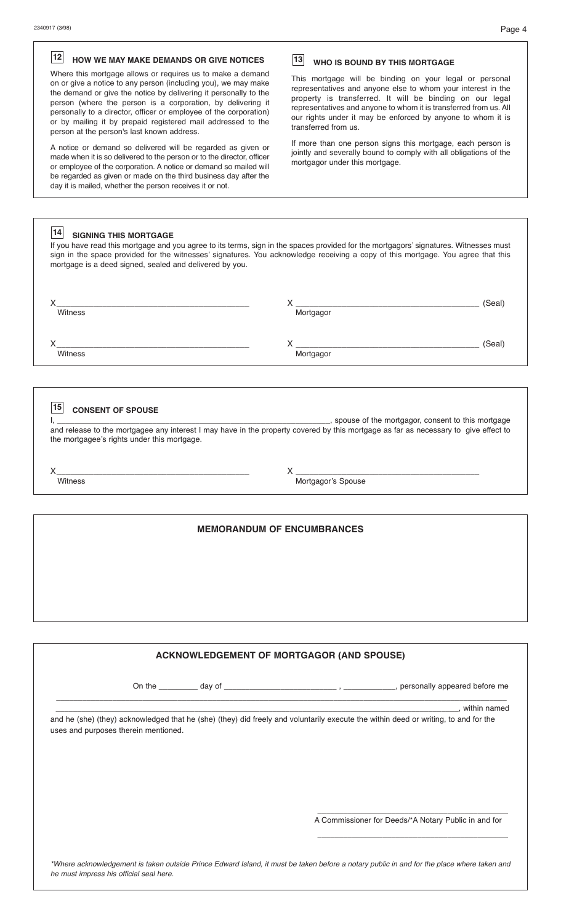# **HOW WE MAY MAKE DEMANDS OR GIVE NOTICES 12 13**

Where this mortgage allows or requires us to make a demand on or give a notice to any person (including you), we may make the demand or give the notice by delivering it personally to the person (where the person is a corporation, by delivering it personally to a director, officer or employee of the corporation) or by mailing it by prepaid registered mail addressed to the person at the person's last known address.

A notice or demand so delivered will be regarded as given or made when it is so delivered to the person or to the director, officer or employee of the corporation. A notice or demand so mailed will be regarded as given or made on the third business day after the day it is mailed, whether the person receives it or not.

# **WHO IS BOUND BY THIS MORTGAGE**

This mortgage will be binding on your legal or personal representatives and anyone else to whom your interest in the property is transferred. It will be binding on our legal representatives and anyone to whom it is transferred from us. All our rights under it may be enforced by anyone to whom it is transferred from us.

If more than one person signs this mortgage, each person is jointly and severally bound to comply with all obligations of the mortgagor under this mortgage.

| 14<br><b>SIGNING THIS MORTGAGE</b><br>If you have read this mortgage and you agree to its terms, sign in the spaces provided for the mortgagors' signatures. Witnesses must<br>sign in the space provided for the witnesses' signatures. You acknowledge receiving a copy of this mortgage. You agree that this<br>mortgage is a deed signed, sealed and delivered by you. |           |        |  |  |
|----------------------------------------------------------------------------------------------------------------------------------------------------------------------------------------------------------------------------------------------------------------------------------------------------------------------------------------------------------------------------|-----------|--------|--|--|
| Witness                                                                                                                                                                                                                                                                                                                                                                    | Mortgagor | (Seal` |  |  |
| Witness                                                                                                                                                                                                                                                                                                                                                                    | Mortgagor | (Seal` |  |  |

# **15** CONSENT OF SPOUSE

I, \_\_\_\_\_\_\_\_\_\_\_\_\_\_\_\_\_\_\_\_\_\_\_\_\_\_\_\_\_\_\_\_\_\_\_\_\_\_\_\_\_\_\_\_\_\_\_\_\_\_\_\_\_\_\_\_\_\_\_\_\_\_\_, spouse of the mortgagor, consent to this mortgage and release to the mortgagee any interest I may have in the property covered by this mortgage as far as necessary to give effect to the mortgagee's rights under this mortgage.

X\_\_\_\_\_\_\_\_\_\_\_\_\_\_\_\_\_\_\_\_\_\_\_\_\_\_\_\_\_\_\_\_\_\_\_\_\_\_\_\_\_\_ X \_\_\_\_\_\_\_\_\_\_\_\_\_\_\_\_\_\_\_\_\_\_\_\_\_\_\_\_\_\_\_\_\_\_\_\_\_\_\_\_

Witness Mortgagor's Spouse

# **MEMORANDUM OF ENCUMBRANCES**

# **ACKNOWLEDGEMENT OF MORTGAGOR (AND SPOUSE)**

\_\_\_\_\_\_\_\_\_\_\_\_\_\_\_\_\_\_\_\_\_\_\_\_\_\_\_\_\_\_\_\_\_\_\_\_\_\_\_\_\_\_\_\_\_\_\_\_\_\_\_\_\_\_\_\_\_\_\_\_\_\_\_\_\_\_\_\_\_\_\_\_\_\_\_\_\_\_\_\_\_\_\_\_\_\_\_\_\_\_\_\_\_\_\_\_\_\_\_\_\_\_\_\_

On the \_\_\_\_\_\_\_\_\_ day of \_\_\_\_\_\_\_\_\_\_\_\_\_\_\_\_\_\_\_\_\_\_\_\_\_\_ , \_\_\_\_\_\_\_\_\_\_\_\_, personally appeared before me

\_\_\_\_\_\_\_\_\_\_\_\_\_\_\_\_\_\_\_\_\_\_\_\_\_\_\_\_\_\_\_\_\_\_\_\_\_\_\_\_\_\_\_\_\_\_\_\_\_\_\_\_\_\_\_\_\_\_\_\_\_\_\_\_\_\_\_\_\_\_\_\_\_\_\_\_\_\_\_\_\_\_\_\_\_\_\_\_\_\_\_\_\_, within named

and he (she) (they) acknowledged that he (she) (they) did freely and voluntarily execute the within deed or writing, to and for the uses and purposes therein mentioned.

A Commissioner for Deeds/\*A Notary Public in and for

\*Where acknowledgement is taken outside Prince Edward Island, it must be taken before a notary public in and for the place where taken and *he must impress his official seal here.*

 $\overline{\phantom{a}}$  , and the contract of the contract of the contract of the contract of the contract of the contract of the contract of the contract of the contract of the contract of the contract of the contract of the contrac

 $\overline{\phantom{a}}$  , and the contract of the contract of the contract of the contract of the contract of the contract of the contract of the contract of the contract of the contract of the contract of the contract of the contrac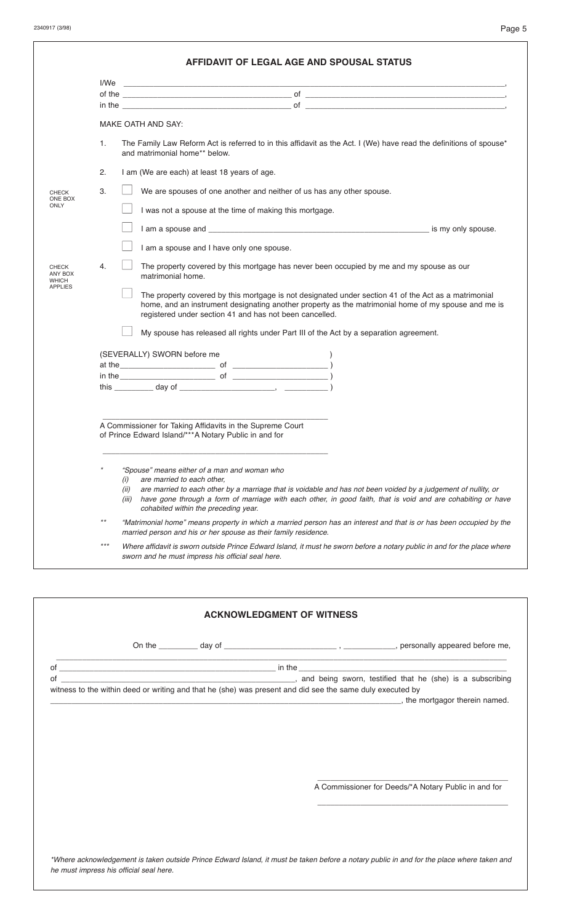|                                  |       | in the $\overline{\phantom{a}}$ of $\overline{\phantom{a}}$                                                                                                                                                                                                                                                                                                                  |  |  |  |  |
|----------------------------------|-------|------------------------------------------------------------------------------------------------------------------------------------------------------------------------------------------------------------------------------------------------------------------------------------------------------------------------------------------------------------------------------|--|--|--|--|
|                                  |       | <b>MAKE OATH AND SAY:</b>                                                                                                                                                                                                                                                                                                                                                    |  |  |  |  |
|                                  | 1.    | The Family Law Reform Act is referred to in this affidavit as the Act. I (We) have read the definitions of spouse*<br>and matrimonial home** below.                                                                                                                                                                                                                          |  |  |  |  |
|                                  | 2.    | I am (We are each) at least 18 years of age.                                                                                                                                                                                                                                                                                                                                 |  |  |  |  |
| CHECK<br>ONE BOX                 | 3.    | We are spouses of one another and neither of us has any other spouse.                                                                                                                                                                                                                                                                                                        |  |  |  |  |
| ONLY                             |       | I was not a spouse at the time of making this mortgage.                                                                                                                                                                                                                                                                                                                      |  |  |  |  |
|                                  |       |                                                                                                                                                                                                                                                                                                                                                                              |  |  |  |  |
|                                  |       | I am a spouse and I have only one spouse.                                                                                                                                                                                                                                                                                                                                    |  |  |  |  |
| <b>CHECK</b><br>ANY BOX<br>WHICH | 4.    | The property covered by this mortgage has never been occupied by me and my spouse as our<br>matrimonial home.                                                                                                                                                                                                                                                                |  |  |  |  |
| <b>APPLIES</b>                   |       | The property covered by this mortgage is not designated under section 41 of the Act as a matrimonial<br>home, and an instrument designating another property as the matrimonial home of my spouse and me is                                                                                                                                                                  |  |  |  |  |
|                                  |       |                                                                                                                                                                                                                                                                                                                                                                              |  |  |  |  |
|                                  |       | registered under section 41 and has not been cancelled.<br>My spouse has released all rights under Part III of the Act by a separation agreement.                                                                                                                                                                                                                            |  |  |  |  |
|                                  |       | (SEVERALLY) SWORN before me                                                                                                                                                                                                                                                                                                                                                  |  |  |  |  |
|                                  |       |                                                                                                                                                                                                                                                                                                                                                                              |  |  |  |  |
|                                  |       |                                                                                                                                                                                                                                                                                                                                                                              |  |  |  |  |
|                                  |       |                                                                                                                                                                                                                                                                                                                                                                              |  |  |  |  |
|                                  |       | A Commissioner for Taking Affidavits in the Supreme Court<br>of Prince Edward Island/***A Notary Public in and for                                                                                                                                                                                                                                                           |  |  |  |  |
|                                  |       | "Spouse" means either of a man and woman who<br>are married to each other,<br>(i)<br>are married to each other by a marriage that is voidable and has not been voided by a judgement of nullity, or<br>(ii)<br>have gone through a form of marriage with each other, in good faith, that is void and are cohabiting or have<br>(iii)<br>cohabited within the preceding year. |  |  |  |  |
|                                  | $***$ | "Matrimonial home" means property in which a married person has an interest and that is or has been occupied by the<br>married person and his or her spouse as their family residence.                                                                                                                                                                                       |  |  |  |  |

| of |  | witness to the within deed or writing and that he (she) was present and did see the same duly executed by                  |  |
|----|--|----------------------------------------------------------------------------------------------------------------------------|--|
|    |  | <b>Contract of the example of the example of the example of the example of the example of the mortgagor therein named.</b> |  |
|    |  |                                                                                                                            |  |
|    |  |                                                                                                                            |  |
|    |  |                                                                                                                            |  |
|    |  |                                                                                                                            |  |
|    |  |                                                                                                                            |  |
|    |  | A Commissioner for Deeds/*A Notary Public in and for                                                                       |  |
|    |  |                                                                                                                            |  |
|    |  |                                                                                                                            |  |
|    |  |                                                                                                                            |  |
|    |  |                                                                                                                            |  |